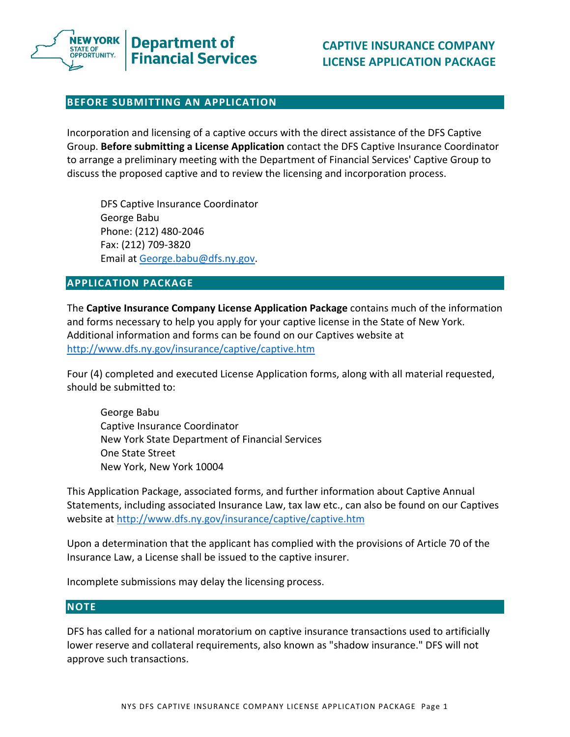

# **BEFORE SUBMITTING AN APPLICATION**

 Incorporation and licensing of a captive occurs with the direct assistance of the DFS Captive  Group. **Before submitting a License Application** contact the DFS Captive Insurance Coordinator to arrange a preliminary meeting with the Department of Financial Services' Captive Group to discuss the proposed captive and to review the licensing and incorporation process.

 DFS Captive Insurance Coordinator George Babu Phone: (212) 480‐2046 Fax: (212) 709‐3820 Email at George.babu@dfs.ny.gov.

# **APPLICATION PACKAGE**

 The **Captive Insurance Company License Application Package** contains much of the information and forms necessary to help you apply for your captive license in the State of New York. Additional information and forms can be found on our Captives website at http://www.dfs.ny.gov/insurance/captive/captive.htm

 Four (4) completed and executed License Application forms, along with all material requested, should be submitted to:

 George Babu Captive Insurance Coordinator New York State Department of Financial Services One State Street New York, New York 10004

 This Application Package, associated forms, and further information about Captive Annual Statements, including associated Insurance Law, tax law etc., can also be found on our Captives website at http://www.dfs.ny.gov/insurance/captive/captive.htm

 Upon a determination that the applicant has complied with the provisions of Article 70 of the Insurance Law, a License shall be issued to the captive insurer.

Incomplete submissions may delay the licensing process.

### **NOTE**

 DFS has called for a national moratorium on captive insurance transactions used to artificially lower reserve and collateral requirements, also known as "shadow insurance." DFS will not approve such transactions.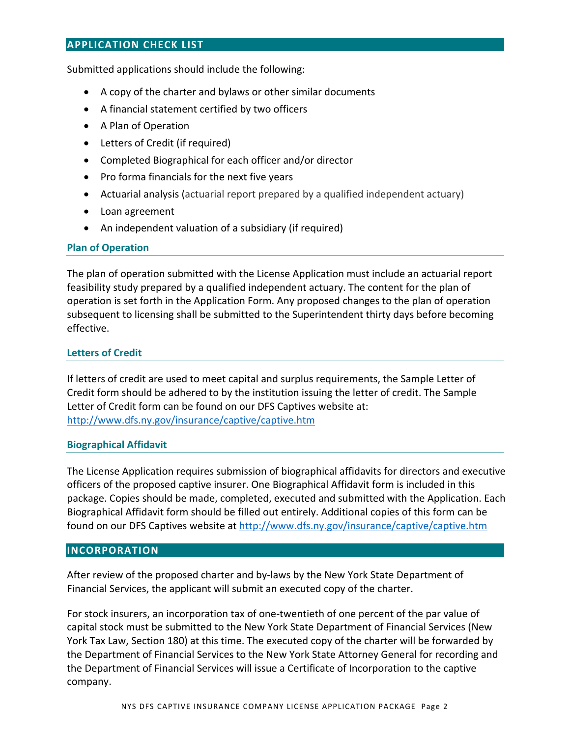# **APPLICATION CHECK LIST**

Submitted applications should include the following:

- A copy of the charter and bylaws or other similar documents
- A financial statement certified by two officers
- A Plan of Operation
- Letters of Credit (if required)
- Completed Biographical for each officer and/or director
- Pro forma financials for the next five years
- Actuarial analysis (actuarial report prepared by a qualified independent actuary)
- Loan agreement
- An independent valuation of a subsidiary (if required)

# **Plan of Operation**

 The plan of operation submitted with the License Application must include an actuarial report feasibility study prepared by a qualified independent actuary. The content for the plan of operation is set forth in the Application Form. Any proposed changes to the plan of operation subsequent to licensing shall be submitted to the Superintendent thirty days before becoming effective.

# **Letters of Credit**

 If letters of credit are used to meet capital and surplus requirements, the Sample Letter of Credit form should be adhered to by the institution issuing the letter of credit. The Sample Letter of Credit form can be found on our DFS Captives website at: http://www.dfs.ny.gov/insurance/captive/captive.htm

### **Biographical Affidavit**

 The License Application requires submission of biographical affidavits for directors and executive officers of the proposed captive insurer. One Biographical Affidavit form is included in this package. Copies should be made, completed, executed and submitted with the Application. Each Biographical Affidavit form should be filled out entirely. Additional copies of this form can be found on our DFS Captives website at <u>http://www.dfs.ny.gov/insurance/captive/captive.htm</u>

# **INCORPORATION**

 After review of the proposed charter and by‐laws by the New York State Department of Financial Services, the applicant will submit an executed copy of the charter.

 For stock insurers, an incorporation tax of one‐twentieth of one percent of the par value of capital stock must be submitted to the New York State Department of Financial Services (New York Tax Law, Section 180) at this time. The executed copy of the charter will be forwarded by the Department of Financial Services to the New York State Attorney General for recording and the Department of Financial Services will issue a Certificate of Incorporation to the captive company.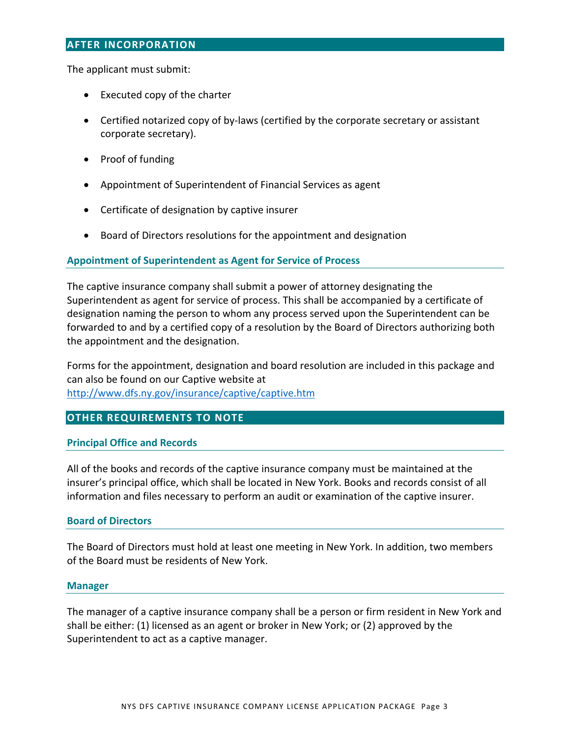### **AFTER INCORPORATION**

The applicant must submit:

- Executed copy of the charter
- Certified notarized copy of by-laws (certified by the corporate secretary or assistant corporate secretary).
- Proof of funding
- Appointment of Superintendent of Financial Services as agent
- Certificate of designation by captive insurer
- Board of Directors resolutions for the appointment and designation

# **Appointment of Superintendent as Agent for Service of Process**

 The captive insurance company shall submit a power of attorney designating the Superintendent as agent for service of process. This shall be accompanied by a certificate of designation naming the person to whom any process served upon the Superintendent can be forwarded to and by a certified copy of a resolution by the Board of Directors authorizing both the appointment and the designation.

 Forms for the appointment, designation and board resolution are included in this package and can also be found on our Captive website at http://www.dfs.ny.gov/insurance/captive/captive.htm

# **OTHER REQUIREMENTS TO NOTE**

# **Principal Office and Records**

 All of the books and records of the captive insurance company must be maintained at the insurer's principal office, which shall be located in New York. Books and records consist of all information and files necessary to perform an audit or examination of the captive insurer.

### **Board of Directors**

 The Board of Directors must hold at least one meeting in New York. In addition, two members of the Board must be residents of New York.

### **Manager**

 The manager of a captive insurance company shall be a person or firm resident in New York and shall be either: (1) licensed as an agent or broker in New York; or (2) approved by the Superintendent to act as a captive manager.